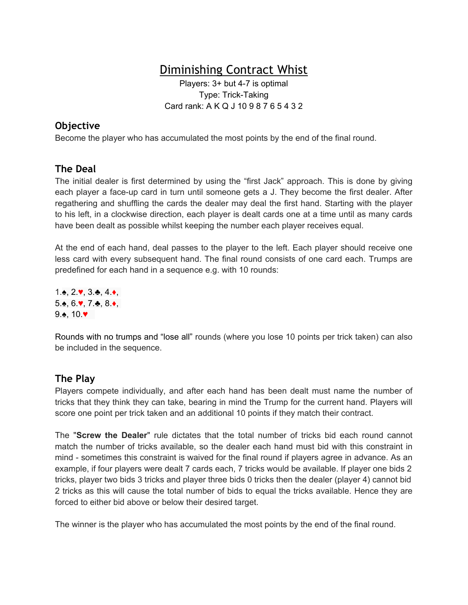# Diminishing Contract Whist

Players: 3+ but 4-7 is optimal Type: Trick-Taking Card rank: A K Q J 10 9 8 7 6 5 4 3 2

### **Objective**

Become the player who has accumulated the most points by the end of the final round.

#### **The Deal**

The initial dealer is first determined by using the "first Jack" approach. This is done by giving each player a face-up card in turn until someone gets a J. They become the first dealer. After regathering and shuffling the cards the dealer may deal the first hand. Starting with the player to his left, in a clockwise direction, each player is dealt cards one at a time until as many cards have been dealt as possible whilst keeping the number each player receives equal.

At the end of each hand, deal passes to the player to the left. Each player should receive one less card with every subsequent hand. The final round consists of one card each. Trumps are predefined for each hand in a sequence e.g. with 10 rounds:

1.♠, 2.♥, 3.♣, 4.♦, 5.♠, 6.♥, 7.♣, 8.♦,  $9.$ triangle, 10.♥

Rounds with no trumps and "lose all" rounds (where you lose 10 points per trick taken) can also be included in the sequence.

#### **The Play**

Players compete individually, and after each hand has been dealt must name the number of tricks that they think they can take, bearing in mind the Trump for the current hand. Players will score one point per trick taken and an additional 10 points if they match their contract.

The "**Screw the Dealer**" rule dictates that the total number of tricks bid each round cannot match the number of tricks available, so the dealer each hand must bid with this constraint in mind - sometimes this constraint is waived for the final round if players agree in advance. As an example, if four players were dealt 7 cards each, 7 tricks would be available. If player one bids 2 tricks, player two bids 3 tricks and player three bids 0 tricks then the dealer (player 4) cannot bid 2 tricks as this will cause the total number of bids to equal the tricks available. Hence they are forced to either bid above or below their desired target.

The winner is the player who has accumulated the most points by the end of the final round.